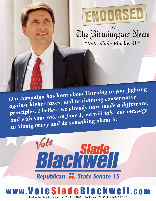

*Our campaign has been about listening to you, fighting against higher taxes, and re-claiming conservative principles. I believe we already have made a difference, and with your vote on June 1, we will take our message to Montgomery and do something about it.*